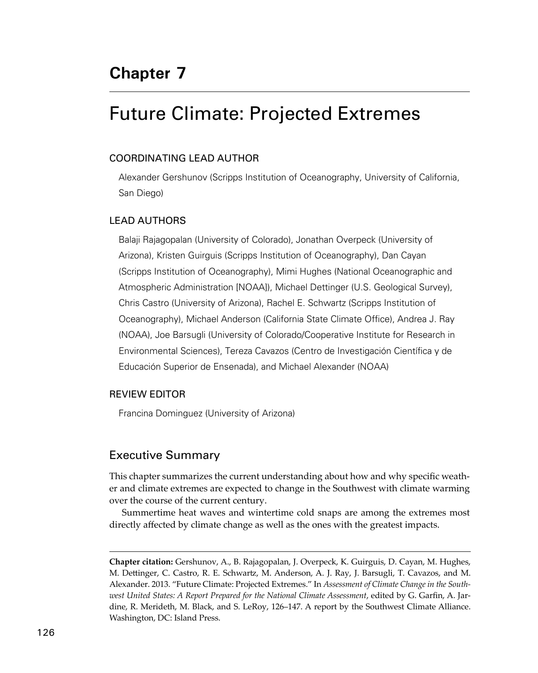# Future Climate: Projected Extremes

## Coordinating Lead Author

Alexander Gershunov (Scripps Institution of Oceanography, University of California, San Diego)

## Lead Authors

Balaji Rajagopalan (University of Colorado), Jonathan Overpeck (University of Arizona), Kristen Guirguis (Scripps Institution of Oceanography), Dan Cayan (Scripps Institution of Oceanography), Mimi Hughes (National Oceanographic and Atmospheric Administration [NOAA]), Michael Dettinger (U.S. Geological Survey), Chris Castro (University of Arizona), Rachel E. Schwartz (Scripps Institution of Oceanography), Michael Anderson (California State Climate Office), Andrea J. Ray (NOAA), Joe Barsugli (University of Colorado/Cooperative Institute for Research in Environmental Sciences), Tereza Cavazos (Centro de Investigación Científica y de Educación Superior de Ensenada), and Michael Alexander (NOAA)

## Review Editor

Francina Dominguez (University of Arizona)

# Executive Summary

This chapter summarizes the current understanding about how and why specific weather and climate extremes are expected to change in the Southwest with climate warming over the course of the current century.

Summertime heat waves and wintertime cold snaps are among the extremes most directly affected by climate change as well as the ones with the greatest impacts.

**Chapter citation:** Gershunov, A., B. Rajagopalan, J. Overpeck, K. Guirguis, D. Cayan, M. Hughes, M. Dettinger, C. Castro, R. E. Schwartz, M. Anderson, A. J. Ray, J. Barsugli, T. Cavazos, and M. Alexander. 2013. "Future Climate: Projected Extremes." In *Assessment of Climate Change in the Southwest United States: A Report Prepared for the National Climate Assessment*, edited by G. Garfin, A. Jardine, R. Merideth, M. Black, and S. LeRoy, 126–147. A report by the Southwest Climate Alliance. Washington, DC: Island Press.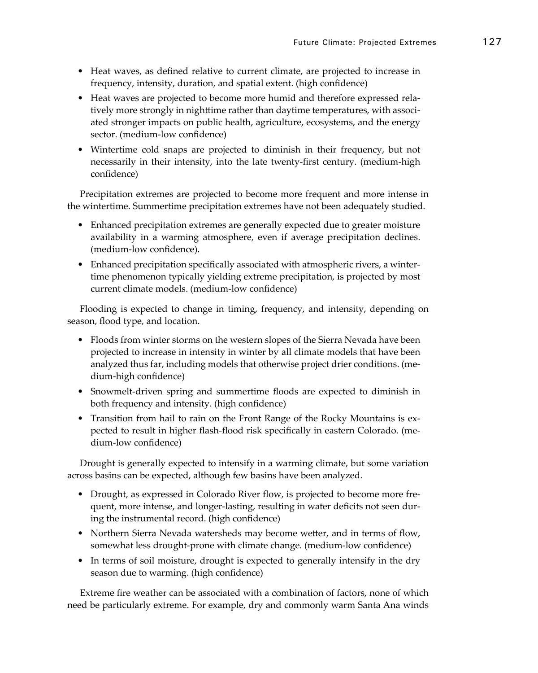- Heat waves, as defined relative to current climate, are projected to increase in frequency, intensity, duration, and spatial extent. (high confidence)
- Heat waves are projected to become more humid and therefore expressed relatively more strongly in nighttime rather than daytime temperatures, with associated stronger impacts on public health, agriculture, ecosystems, and the energy sector. (medium-low confidence)
- Wintertime cold snaps are projected to diminish in their frequency, but not necessarily in their intensity, into the late twenty-first century. (medium-high confidence)

Precipitation extremes are projected to become more frequent and more intense in the wintertime. Summertime precipitation extremes have not been adequately studied.

- Enhanced precipitation extremes are generally expected due to greater moisture availability in a warming atmosphere, even if average precipitation declines. (medium-low confidence).
- Enhanced precipitation specifically associated with atmospheric rivers, a wintertime phenomenon typically yielding extreme precipitation, is projected by most current climate models. (medium-low confidence)

Flooding is expected to change in timing, frequency, and intensity, depending on season, flood type, and location.

- Floods from winter storms on the western slopes of the Sierra Nevada have been projected to increase in intensity in winter by all climate models that have been analyzed thus far, including models that otherwise project drier conditions. (medium-high confidence)
- Snowmelt-driven spring and summertime floods are expected to diminish in both frequency and intensity. (high confidence)
- Transition from hail to rain on the Front Range of the Rocky Mountains is expected to result in higher flash-flood risk specifically in eastern Colorado. (medium-low confidence)

Drought is generally expected to intensify in a warming climate, but some variation across basins can be expected, although few basins have been analyzed.

- Drought, as expressed in Colorado River flow, is projected to become more frequent, more intense, and longer-lasting, resulting in water deficits not seen during the instrumental record. (high confidence)
- Northern Sierra Nevada watersheds may become wetter, and in terms of flow, somewhat less drought-prone with climate change. (medium-low confidence)
- In terms of soil moisture, drought is expected to generally intensify in the dry season due to warming. (high confidence)

Extreme fire weather can be associated with a combination of factors, none of which need be particularly extreme. For example, dry and commonly warm Santa Ana winds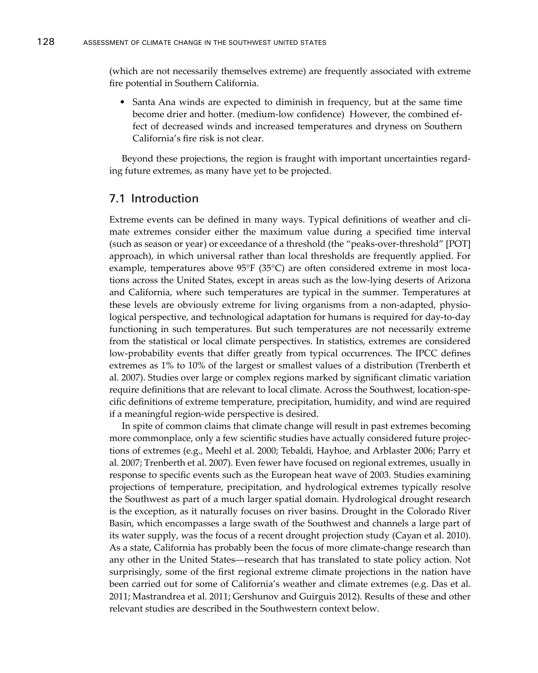(which are not necessarily themselves extreme) are frequently associated with extreme fire potential in Southern California.

• Santa Ana winds are expected to diminish in frequency, but at the same time become drier and hotter. (medium-low confidence) However, the combined effect of decreased winds and increased temperatures and dryness on Southern California's fire risk is not clear.

Beyond these projections, the region is fraught with important uncertainties regarding future extremes, as many have yet to be projected.

# 7.1 Introduction

Extreme events can be defined in many ways. Typical definitions of weather and climate extremes consider either the maximum value during a specified time interval (such as season or year) or exceedance of a threshold (the "peaks-over-threshold" [POT] approach), in which universal rather than local thresholds are frequently applied. For example, temperatures above 95°F (35°C) are often considered extreme in most locations across the United States, except in areas such as the low-lying deserts of Arizona and California, where such temperatures are typical in the summer. Temperatures at these levels are obviously extreme for living organisms from a non-adapted, physiological perspective, and technological adaptation for humans is required for day-to-day functioning in such temperatures. But such temperatures are not necessarily extreme from the statistical or local climate perspectives. In statistics, extremes are considered low-probability events that differ greatly from typical occurrences. The IPCC defines extremes as 1% to 10% of the largest or smallest values of a distribution (Trenberth et al. 2007). Studies over large or complex regions marked by significant climatic variation require definitions that are relevant to local climate. Across the Southwest, location-specific definitions of extreme temperature, precipitation, humidity, and wind are required if a meaningful region-wide perspective is desired.

In spite of common claims that climate change will result in past extremes becoming more commonplace, only a few scientific studies have actually considered future projections of extremes (e.g., Meehl et al. 2000; Tebaldi, Hayhoe, and Arblaster 2006; Parry et al. 2007; Trenberth et al. 2007). Even fewer have focused on regional extremes, usually in response to specific events such as the European heat wave of 2003. Studies examining projections of temperature, precipitation, and hydrological extremes typically resolve the Southwest as part of a much larger spatial domain. Hydrological drought research is the exception, as it naturally focuses on river basins. Drought in the Colorado River Basin, which encompasses a large swath of the Southwest and channels a large part of its water supply, was the focus of a recent drought projection study (Cayan et al. 2010). As a state, California has probably been the focus of more climate-change research than any other in the United States―research that has translated to state policy action. Not surprisingly, some of the first regional extreme climate projections in the nation have been carried out for some of California's weather and climate extremes (e.g. Das et al. 2011; Mastrandrea et al. 2011; Gershunov and Guirguis 2012). Results of these and other relevant studies are described in the Southwestern context below.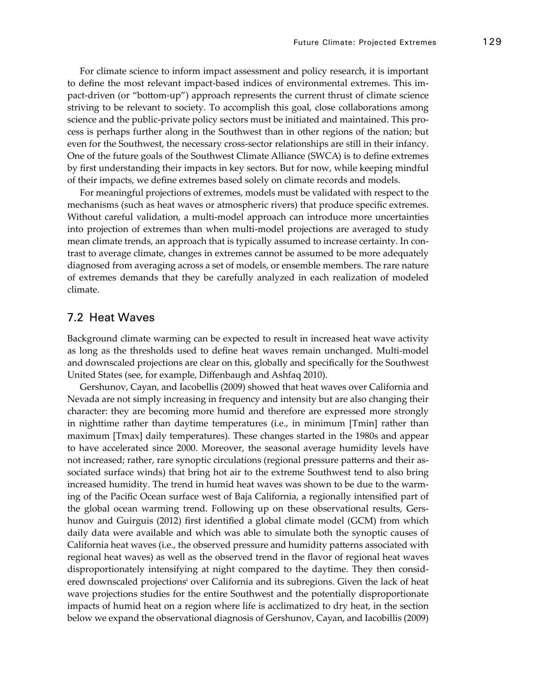For climate science to inform impact assessment and policy research, it is important to define the most relevant impact-based indices of environmental extremes. This impact-driven (or "bottom-up") approach represents the current thrust of climate science striving to be relevant to society. To accomplish this goal, close collaborations among science and the public-private policy sectors must be initiated and maintained. This process is perhaps further along in the Southwest than in other regions of the nation; but even for the Southwest, the necessary cross-sector relationships are still in their infancy. One of the future goals of the Southwest Climate Alliance (SWCA) is to define extremes by first understanding their impacts in key sectors. But for now, while keeping mindful of their impacts, we define extremes based solely on climate records and models.

For meaningful projections of extremes, models must be validated with respect to the mechanisms (such as heat waves or atmospheric rivers) that produce specific extremes. Without careful validation, a multi-model approach can introduce more uncertainties into projection of extremes than when multi-model projections are averaged to study mean climate trends, an approach that is typically assumed to increase certainty. In contrast to average climate, changes in extremes cannot be assumed to be more adequately diagnosed from averaging across a set of models, or ensemble members. The rare nature of extremes demands that they be carefully analyzed in each realization of modeled climate.

## 7.2 Heat Waves

Background climate warming can be expected to result in increased heat wave activity as long as the thresholds used to define heat waves remain unchanged. Multi-model and downscaled projections are clear on this, globally and specifically for the Southwest United States (see, for example, Diffenbaugh and Ashfaq 2010).

Gershunov, Cayan, and Iacobellis (2009) showed that heat waves over California and Nevada are not simply increasing in frequency and intensity but are also changing their character: they are becoming more humid and therefore are expressed more strongly in nighttime rather than daytime temperatures (i.e., in minimum [Tmin] rather than maximum [Tmax] daily temperatures). These changes started in the 1980s and appear to have accelerated since 2000. Moreover, the seasonal average humidity levels have not increased; rather, rare synoptic circulations (regional pressure patterns and their associated surface winds) that bring hot air to the extreme Southwest tend to also bring increased humidity. The trend in humid heat waves was shown to be due to the warming of the Pacific Ocean surface west of Baja California, a regionally intensified part of the global ocean warming trend. Following up on these observational results, Gershunov and Guirguis (2012) first identified a global climate model (GCM) from which daily data were available and which was able to simulate both the synoptic causes of California heat waves (i.e., the observed pressure and humidity patterns associated with regional heat waves) as well as the observed trend in the flavor of regional heat waves disproportionately intensifying at night compared to the daytime. They then considered downscaled projections<sup>i</sup> over California and its subregions. Given the lack of heat wave projections studies for the entire Southwest and the potentially disproportionate impacts of humid heat on a region where life is acclimatized to dry heat, in the section below we expand the observational diagnosis of Gershunov, Cayan, and Iacobillis (2009)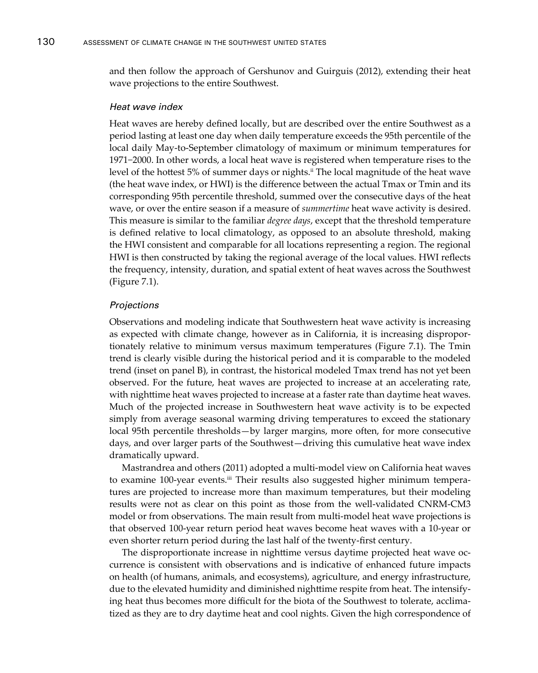and then follow the approach of Gershunov and Guirguis (2012), extending their heat wave projections to the entire Southwest.

#### *Heat wave index*

Heat waves are hereby defined locally, but are described over the entire Southwest as a period lasting at least one day when daily temperature exceeds the 95th percentile of the local daily May-to-September climatology of maximum or minimum temperatures for 1971−2000. In other words, a local heat wave is registered when temperature rises to the level of the hottest 5% of summer days or nights.<sup>ii</sup> The local magnitude of the heat wave (the heat wave index, or HWI) is the difference between the actual Tmax or Tmin and its corresponding 95th percentile threshold, summed over the consecutive days of the heat wave, or over the entire season if a measure of *summertime* heat wave activity is desired. This measure is similar to the familiar *degree days*, except that the threshold temperature is defined relative to local climatology, as opposed to an absolute threshold, making the HWI consistent and comparable for all locations representing a region. The regional HWI is then constructed by taking the regional average of the local values. HWI reflects the frequency, intensity, duration, and spatial extent of heat waves across the Southwest (Figure 7.1).

#### *Projections*

Observations and modeling indicate that Southwestern heat wave activity is increasing as expected with climate change, however as in California, it is increasing disproportionately relative to minimum versus maximum temperatures (Figure 7.1). The Tmin trend is clearly visible during the historical period and it is comparable to the modeled trend (inset on panel B), in contrast, the historical modeled Tmax trend has not yet been observed. For the future, heat waves are projected to increase at an accelerating rate, with nighttime heat waves projected to increase at a faster rate than daytime heat waves. Much of the projected increase in Southwestern heat wave activity is to be expected simply from average seasonal warming driving temperatures to exceed the stationary local 95th percentile thresholds—by larger margins, more often, for more consecutive days, and over larger parts of the Southwest—driving this cumulative heat wave index dramatically upward.

Mastrandrea and others (2011) adopted a multi-model view on California heat waves to examine 100-year events.<sup>iii</sup> Their results also suggested higher minimum temperatures are projected to increase more than maximum temperatures, but their modeling results were not as clear on this point as those from the well-validated CNRM-CM3 model or from observations. The main result from multi-model heat wave projections is that observed 100-year return period heat waves become heat waves with a 10-year or even shorter return period during the last half of the twenty-first century.

The disproportionate increase in nighttime versus daytime projected heat wave occurrence is consistent with observations and is indicative of enhanced future impacts on health (of humans, animals, and ecosystems), agriculture, and energy infrastructure, due to the elevated humidity and diminished nighttime respite from heat. The intensifying heat thus becomes more difficult for the biota of the Southwest to tolerate, acclimatized as they are to dry daytime heat and cool nights. Given the high correspondence of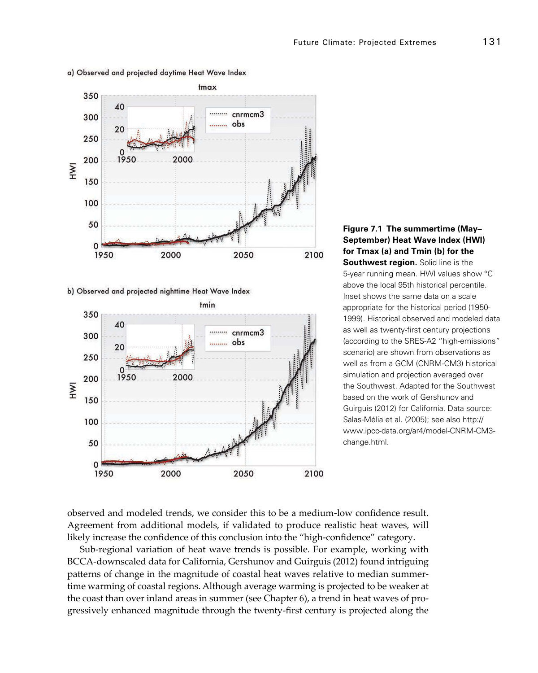

b) Observed and projected nighttime Heat Wave Index



**Figure 7.1 The summertime (May– September) Heat Wave Index (HWI) for Tmax (a) and Tmin (b) for the Southwest region.** Solid line is the 5-year running mean. HWI values show °C above the local 95th historical percentile. Inset shows the same data on a scale appropriate for the historical period (1950- 1999). Historical observed and modeled data as well as twenty-first century projections (according to the SRES-A2 "high-emissions" scenario) are shown from observations as well as from a GCM (CNRM-CM3) historical simulation and projection averaged over the Southwest. Adapted for the Southwest based on the work of Gershunov and Guirguis (2012) for California. Data source: Salas-Mélia et al. (2005); see also http:// www.ipcc-data.org/ar4/model-CNRM-CM3 change.html.

observed and modeled trends, we consider this to be a medium-low confidence result. Agreement from additional models, if validated to produce realistic heat waves, will likely increase the confidence of this conclusion into the "high-confidence" category.

Sub-regional variation of heat wave trends is possible. For example, working with BCCA-downscaled data for California, Gershunov and Guirguis (2012) found intriguing patterns of change in the magnitude of coastal heat waves relative to median summertime warming of coastal regions. Although average warming is projected to be weaker at the coast than over inland areas in summer (see Chapter 6), a trend in heat waves of progressively enhanced magnitude through the twenty-first century is projected along the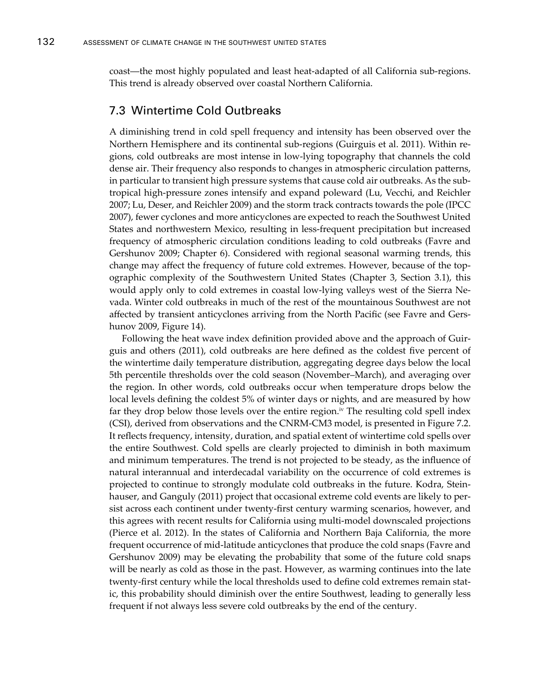coast―the most highly populated and least heat-adapted of all California sub-regions. This trend is already observed over coastal Northern California.

# 7.3 Wintertime Cold Outbreaks

A diminishing trend in cold spell frequency and intensity has been observed over the Northern Hemisphere and its continental sub-regions (Guirguis et al. 2011). Within regions, cold outbreaks are most intense in low-lying topography that channels the cold dense air. Their frequency also responds to changes in atmospheric circulation patterns, in particular to transient high pressure systems that cause cold air outbreaks. As the subtropical high-pressure zones intensify and expand poleward (Lu, Vecchi, and Reichler 2007; Lu, Deser, and Reichler 2009) and the storm track contracts towards the pole (IPCC 2007), fewer cyclones and more anticyclones are expected to reach the Southwest United States and northwestern Mexico, resulting in less-frequent precipitation but increased frequency of atmospheric circulation conditions leading to cold outbreaks (Favre and Gershunov 2009; Chapter 6). Considered with regional seasonal warming trends, this change may affect the frequency of future cold extremes. However, because of the topographic complexity of the Southwestern United States (Chapter 3, Section 3.1), this would apply only to cold extremes in coastal low-lying valleys west of the Sierra Nevada. Winter cold outbreaks in much of the rest of the mountainous Southwest are not affected by transient anticyclones arriving from the North Pacific (see Favre and Gershunov 2009, Figure 14).

Following the heat wave index definition provided above and the approach of Guirguis and others (2011), cold outbreaks are here defined as the coldest five percent of the wintertime daily temperature distribution, aggregating degree days below the local 5th percentile thresholds over the cold season (November–March), and averaging over the region. In other words, cold outbreaks occur when temperature drops below the local levels defining the coldest 5% of winter days or nights, and are measured by how far they drop below those levels over the entire region.<sup>iv</sup> The resulting cold spell index (CSI), derived from observations and the CNRM-CM3 model, is presented in Figure 7.2. It reflects frequency, intensity, duration, and spatial extent of wintertime cold spells over the entire Southwest. Cold spells are clearly projected to diminish in both maximum and minimum temperatures. The trend is not projected to be steady, as the influence of natural interannual and interdecadal variability on the occurrence of cold extremes is projected to continue to strongly modulate cold outbreaks in the future. Kodra, Steinhauser, and Ganguly (2011) project that occasional extreme cold events are likely to persist across each continent under twenty-first century warming scenarios, however, and this agrees with recent results for California using multi-model downscaled projections (Pierce et al. 2012). In the states of California and Northern Baja California, the more frequent occurrence of mid-latitude anticyclones that produce the cold snaps (Favre and Gershunov 2009) may be elevating the probability that some of the future cold snaps will be nearly as cold as those in the past. However, as warming continues into the late twenty-first century while the local thresholds used to define cold extremes remain static, this probability should diminish over the entire Southwest, leading to generally less frequent if not always less severe cold outbreaks by the end of the century.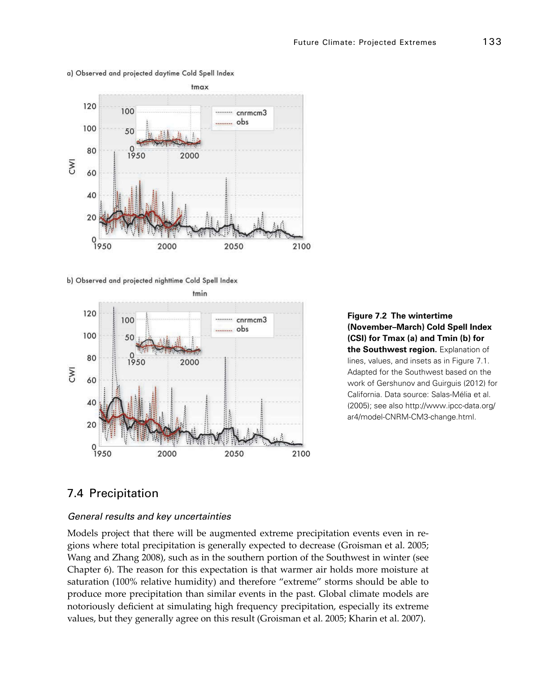

a) Observed and projected daytime Cold Spell Index

b) Observed and projected nighttime Cold Spell Index



**Figure 7.2 The wintertime (November–March) Cold Spell Index (CSI) for Tmax (a) and Tmin (b) for the Southwest region.** Explanation of lines, values, and insets as in Figure 7.1. Adapted for the Southwest based on the work of Gershunov and Guirguis (2012) for California. Data source: Salas-Mélia et al. (2005); see also http://www.ipcc-data.org/ ar4/model-CNRM-CM3-change.html.

# 7.4 Precipitation

## *General results and key uncertainties*

Models project that there will be augmented extreme precipitation events even in regions where total precipitation is generally expected to decrease (Groisman et al. 2005; Wang and Zhang 2008), such as in the southern portion of the Southwest in winter (see Chapter 6). The reason for this expectation is that warmer air holds more moisture at saturation (100% relative humidity) and therefore "extreme" storms should be able to produce more precipitation than similar events in the past. Global climate models are notoriously deficient at simulating high frequency precipitation, especially its extreme values, but they generally agree on this result (Groisman et al. 2005; Kharin et al. 2007).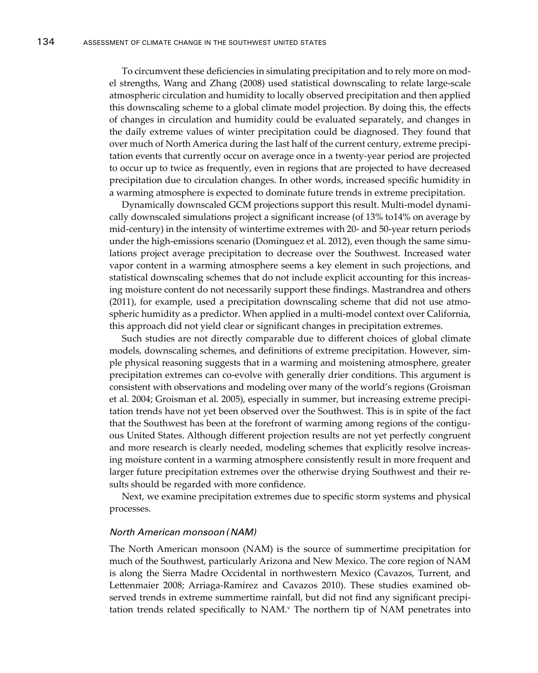To circumvent these deficiencies in simulating precipitation and to rely more on model strengths, Wang and Zhang (2008) used statistical downscaling to relate large-scale atmospheric circulation and humidity to locally observed precipitation and then applied this downscaling scheme to a global climate model projection. By doing this, the effects of changes in circulation and humidity could be evaluated separately, and changes in the daily extreme values of winter precipitation could be diagnosed. They found that over much of North America during the last half of the current century, extreme precipitation events that currently occur on average once in a twenty-year period are projected to occur up to twice as frequently, even in regions that are projected to have decreased precipitation due to circulation changes. In other words, increased specific humidity in a warming atmosphere is expected to dominate future trends in extreme precipitation.

Dynamically downscaled GCM projections support this result. Multi-model dynamically downscaled simulations project a significant increase (of 13% to14% on average by mid-century) in the intensity of wintertime extremes with 20- and 50-year return periods under the high-emissions scenario (Dominguez et al. 2012), even though the same simulations project average precipitation to decrease over the Southwest. Increased water vapor content in a warming atmosphere seems a key element in such projections, and statistical downscaling schemes that do not include explicit accounting for this increasing moisture content do not necessarily support these findings. Mastrandrea and others (2011), for example, used a precipitation downscaling scheme that did not use atmospheric humidity as a predictor. When applied in a multi-model context over California, this approach did not yield clear or significant changes in precipitation extremes.

Such studies are not directly comparable due to different choices of global climate models, downscaling schemes, and definitions of extreme precipitation. However, simple physical reasoning suggests that in a warming and moistening atmosphere, greater precipitation extremes can co-evolve with generally drier conditions. This argument is consistent with observations and modeling over many of the world's regions (Groisman et al. 2004; Groisman et al. 2005), especially in summer, but increasing extreme precipitation trends have not yet been observed over the Southwest. This is in spite of the fact that the Southwest has been at the forefront of warming among regions of the contiguous United States. Although different projection results are not yet perfectly congruent and more research is clearly needed, modeling schemes that explicitly resolve increasing moisture content in a warming atmosphere consistently result in more frequent and larger future precipitation extremes over the otherwise drying Southwest and their results should be regarded with more confidence.

Next, we examine precipitation extremes due to specific storm systems and physical processes.

#### *North American monsoon (NAM)*

The North American monsoon (NAM) is the source of summertime precipitation for much of the Southwest, particularly Arizona and New Mexico. The core region of NAM is along the Sierra Madre Occidental in northwestern Mexico (Cavazos, Turrent, and Lettenmaier 2008; Arriaga-Ramírez and Cavazos 2010). These studies examined observed trends in extreme summertime rainfall, but did not find any significant precipitation trends related specifically to  $NAM$ . The northern tip of  $NAM$  penetrates into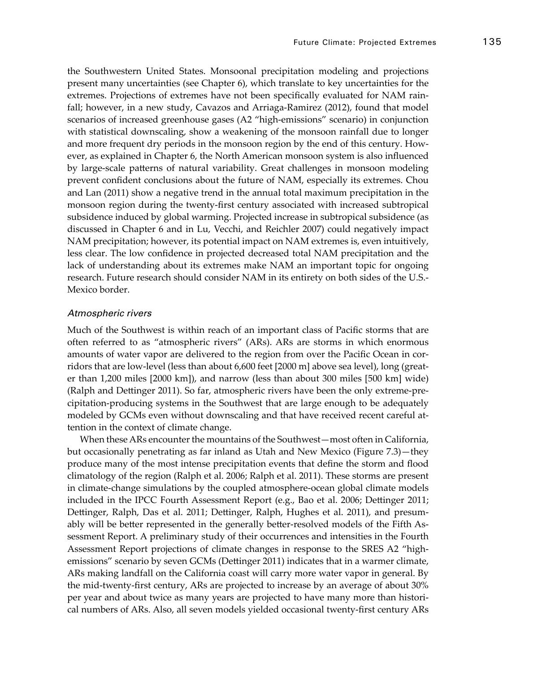the Southwestern United States. Monsoonal precipitation modeling and projections present many uncertainties (see Chapter 6), which translate to key uncertainties for the extremes. Projections of extremes have not been specifically evaluated for NAM rainfall; however, in a new study, Cavazos and Arriaga-Ramirez (2012), found that model scenarios of increased greenhouse gases (A2 "high-emissions" scenario) in conjunction with statistical downscaling, show a weakening of the monsoon rainfall due to longer and more frequent dry periods in the monsoon region by the end of this century. However, as explained in Chapter 6, the North American monsoon system is also influenced by large-scale patterns of natural variability. Great challenges in monsoon modeling prevent confident conclusions about the future of NAM, especially its extremes. Chou and Lan (2011) show a negative trend in the annual total maximum precipitation in the monsoon region during the twenty-first century associated with increased subtropical subsidence induced by global warming. Projected increase in subtropical subsidence (as discussed in Chapter 6 and in Lu, Vecchi, and Reichler 2007) could negatively impact NAM precipitation; however, its potential impact on NAM extremes is, even intuitively, less clear. The low confidence in projected decreased total NAM precipitation and the lack of understanding about its extremes make NAM an important topic for ongoing research. Future research should consider NAM in its entirety on both sides of the U.S.- Mexico border.

## *Atmospheric rivers*

Much of the Southwest is within reach of an important class of Pacific storms that are often referred to as "atmospheric rivers" (ARs). ARs are storms in which enormous amounts of water vapor are delivered to the region from over the Pacific Ocean in corridors that are low-level (less than about 6,600 feet [2000 m] above sea level), long (greater than 1,200 miles [2000 km]), and narrow (less than about 300 miles [500 km] wide) (Ralph and Dettinger 2011). So far, atmospheric rivers have been the only extreme-precipitation-producing systems in the Southwest that are large enough to be adequately modeled by GCMs even without downscaling and that have received recent careful attention in the context of climate change.

When these ARs encounter the mountains of the Southwest—most often in California, but occasionally penetrating as far inland as Utah and New Mexico (Figure 7.3)—they produce many of the most intense precipitation events that define the storm and flood climatology of the region (Ralph et al. 2006; Ralph et al. 2011). These storms are present in climate-change simulations by the coupled atmosphere-ocean global climate models included in the IPCC Fourth Assessment Report (e.g., Bao et al. 2006; Dettinger 2011; Dettinger, Ralph, Das et al. 2011; Dettinger, Ralph, Hughes et al. 2011), and presumably will be better represented in the generally better-resolved models of the Fifth Assessment Report. A preliminary study of their occurrences and intensities in the Fourth Assessment Report projections of climate changes in response to the SRES A2 "highemissions" scenario by seven GCMs (Dettinger 2011) indicates that in a warmer climate, ARs making landfall on the California coast will carry more water vapor in general. By the mid-twenty-first century, ARs are projected to increase by an average of about 30% per year and about twice as many years are projected to have many more than historical numbers of ARs. Also, all seven models yielded occasional twenty-first century ARs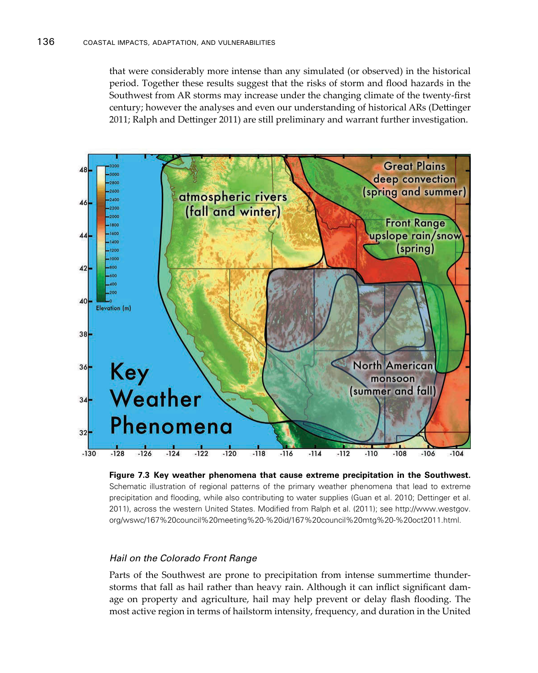that were considerably more intense than any simulated (or observed) in the historical period. Together these results suggest that the risks of storm and flood hazards in the Southwest from AR storms may increase under the changing climate of the twenty-first century; however the analyses and even our understanding of historical ARs (Dettinger 2011; Ralph and Dettinger 2011) are still preliminary and warrant further investigation.



**Figure 7.3 Key weather phenomena that cause extreme precipitation in the Southwest.**  Schematic illustration of regional patterns of the primary weather phenomena that lead to extreme precipitation and flooding, while also contributing to water supplies (Guan et al. 2010; Dettinger et al. 2011), across the western United States. Modified from Ralph et al. (2011); see http://www.westgov. org/wswc/167%20council%20meeting%20-%20id/167%20council%20mtg%20-%20oct2011.html.

## *Hail on the Colorado Front Range*

Parts of the Southwest are prone to precipitation from intense summertime thunderstorms that fall as hail rather than heavy rain. Although it can inflict significant damage on property and agriculture, hail may help prevent or delay flash flooding. The most active region in terms of hailstorm intensity, frequency, and duration in the United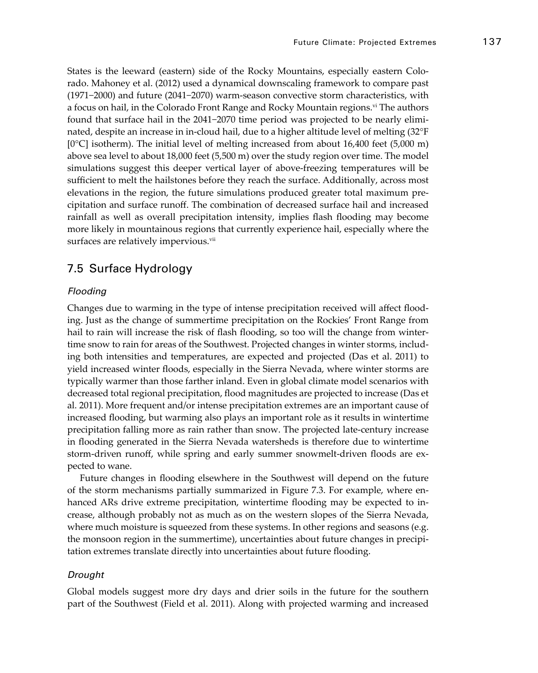States is the leeward (eastern) side of the Rocky Mountains, especially eastern Colorado. Mahoney et al. (2012) used a dynamical downscaling framework to compare past (1971−2000) and future (2041−2070) warm-season convective storm characteristics, with a focus on hail, in the Colorado Front Range and Rocky Mountain regions.<sup>vi</sup> The authors found that surface hail in the 2041−2070 time period was projected to be nearly eliminated, despite an increase in in-cloud hail, due to a higher altitude level of melting (32°F [0°C] isotherm). The initial level of melting increased from about 16,400 feet (5,000 m) above sea level to about 18,000 feet (5,500 m) over the study region over time. The model simulations suggest this deeper vertical layer of above-freezing temperatures will be sufficient to melt the hailstones before they reach the surface. Additionally, across most elevations in the region, the future simulations produced greater total maximum precipitation and surface runoff. The combination of decreased surface hail and increased rainfall as well as overall precipitation intensity, implies flash flooding may become more likely in mountainous regions that currently experience hail, especially where the surfaces are relatively impervious.<sup>vii</sup>

# 7.5 Surface Hydrology

## *Flooding*

Changes due to warming in the type of intense precipitation received will affect flooding. Just as the change of summertime precipitation on the Rockies' Front Range from hail to rain will increase the risk of flash flooding, so too will the change from wintertime snow to rain for areas of the Southwest. Projected changes in winter storms, including both intensities and temperatures, are expected and projected (Das et al. 2011) to yield increased winter floods, especially in the Sierra Nevada, where winter storms are typically warmer than those farther inland. Even in global climate model scenarios with decreased total regional precipitation, flood magnitudes are projected to increase (Das et al. 2011). More frequent and/or intense precipitation extremes are an important cause of increased flooding, but warming also plays an important role as it results in wintertime precipitation falling more as rain rather than snow. The projected late-century increase in flooding generated in the Sierra Nevada watersheds is therefore due to wintertime storm-driven runoff, while spring and early summer snowmelt-driven floods are expected to wane.

Future changes in flooding elsewhere in the Southwest will depend on the future of the storm mechanisms partially summarized in Figure 7.3. For example, where enhanced ARs drive extreme precipitation, wintertime flooding may be expected to increase, although probably not as much as on the western slopes of the Sierra Nevada, where much moisture is squeezed from these systems. In other regions and seasons (e.g. the monsoon region in the summertime), uncertainties about future changes in precipitation extremes translate directly into uncertainties about future flooding.

## *Drought*

Global models suggest more dry days and drier soils in the future for the southern part of the Southwest (Field et al. 2011). Along with projected warming and increased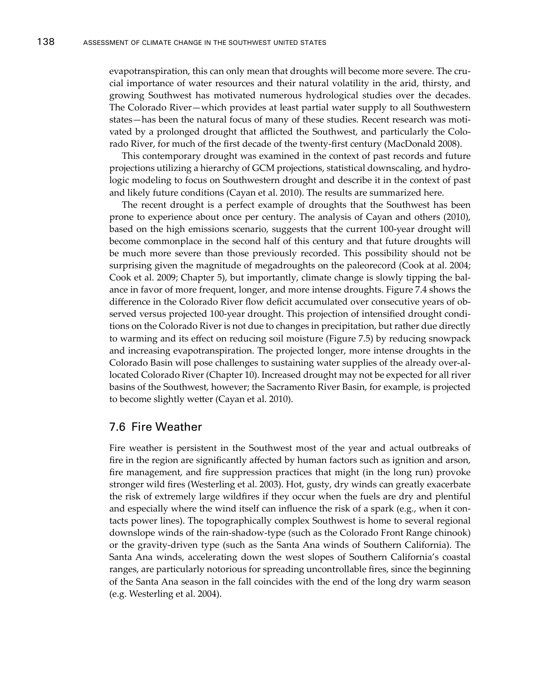evapotranspiration, this can only mean that droughts will become more severe. The crucial importance of water resources and their natural volatility in the arid, thirsty, and growing Southwest has motivated numerous hydrological studies over the decades. The Colorado River—which provides at least partial water supply to all Southwestern states—has been the natural focus of many of these studies. Recent research was motivated by a prolonged drought that afflicted the Southwest, and particularly the Colorado River, for much of the first decade of the twenty-first century (MacDonald 2008).

This contemporary drought was examined in the context of past records and future projections utilizing a hierarchy of GCM projections, statistical downscaling, and hydrologic modeling to focus on Southwestern drought and describe it in the context of past and likely future conditions (Cayan et al. 2010). The results are summarized here.

The recent drought is a perfect example of droughts that the Southwest has been prone to experience about once per century. The analysis of Cayan and others (2010), based on the high emissions scenario, suggests that the current 100-year drought will become commonplace in the second half of this century and that future droughts will be much more severe than those previously recorded. This possibility should not be surprising given the magnitude of megadroughts on the paleorecord (Cook at al. 2004; Cook et al. 2009; Chapter 5), but importantly, climate change is slowly tipping the balance in favor of more frequent, longer, and more intense droughts. Figure 7.4 shows the difference in the Colorado River flow deficit accumulated over consecutive years of observed versus projected 100-year drought. This projection of intensified drought conditions on the Colorado River is not due to changes in precipitation, but rather due directly to warming and its effect on reducing soil moisture (Figure 7.5) by reducing snowpack and increasing evapotranspiration. The projected longer, more intense droughts in the Colorado Basin will pose challenges to sustaining water supplies of the already over-allocated Colorado River (Chapter 10). Increased drought may not be expected for all river basins of the Southwest, however; the Sacramento River Basin, for example, is projected to become slightly wetter (Cayan et al. 2010).

## 7.6 Fire Weather

Fire weather is persistent in the Southwest most of the year and actual outbreaks of fire in the region are significantly affected by human factors such as ignition and arson, fire management, and fire suppression practices that might (in the long run) provoke stronger wild fires (Westerling et al. 2003). Hot, gusty, dry winds can greatly exacerbate the risk of extremely large wildfires if they occur when the fuels are dry and plentiful and especially where the wind itself can influence the risk of a spark (e.g., when it contacts power lines). The topographically complex Southwest is home to several regional downslope winds of the rain-shadow-type (such as the Colorado Front Range chinook) or the gravity-driven type (such as the Santa Ana winds of Southern California). The Santa Ana winds, accelerating down the west slopes of Southern California's coastal ranges, are particularly notorious for spreading uncontrollable fires, since the beginning of the Santa Ana season in the fall coincides with the end of the long dry warm season (e.g. Westerling et al. 2004).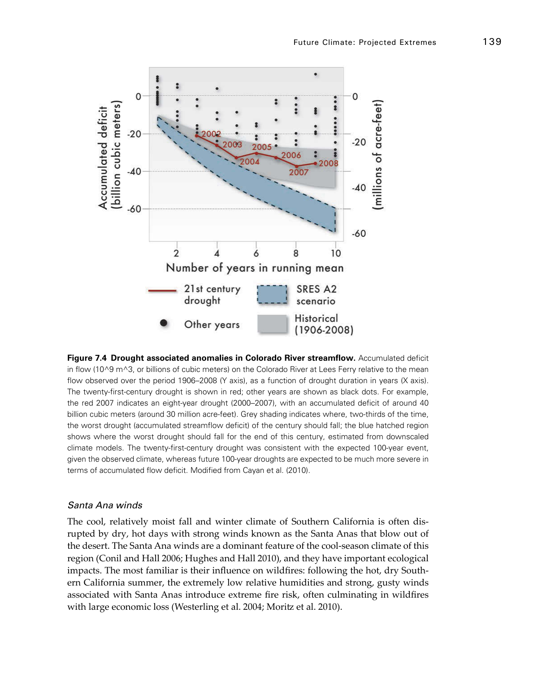

**Figure 7.4 Drought associated anomalies in Colorado River streamflow.** Accumulated deficit in flow (10^9 m^3, or billions of cubic meters) on the Colorado River at Lees Ferry relative to the mean flow observed over the period 1906–2008 (Y axis), as a function of drought duration in years (X axis). The twenty-first-century drought is shown in red; other years are shown as black dots. For example, the red 2007 indicates an eight-year drought (2000–2007), with an accumulated deficit of around 40 billion cubic meters (around 30 million acre-feet). Grey shading indicates where, two-thirds of the time, the worst drought (accumulated streamflow deficit) of the century should fall; the blue hatched region shows where the worst drought should fall for the end of this century, estimated from downscaled climate models. The twenty-first-century drought was consistent with the expected 100-year event, given the observed climate, whereas future 100-year droughts are expected to be much more severe in terms of accumulated flow deficit. Modified from Cayan et al. (2010).

#### *Santa Ana winds*

The cool, relatively moist fall and winter climate of Southern California is often disrupted by dry, hot days with strong winds known as the Santa Anas that blow out of the desert. The Santa Ana winds are a dominant feature of the cool-season climate of this region (Conil and Hall 2006; Hughes and Hall 2010), and they have important ecological impacts. The most familiar is their influence on wildfires: following the hot, dry Southern California summer, the extremely low relative humidities and strong, gusty winds associated with Santa Anas introduce extreme fire risk, often culminating in wildfires with large economic loss (Westerling et al. 2004; Moritz et al. 2010).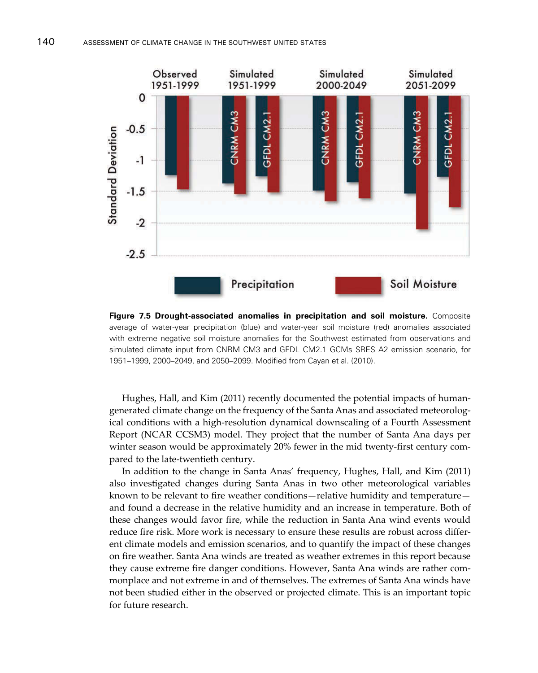

**Figure 7.5 Drought-associated anomalies in precipitation and soil moisture.** Composite average of water-year precipitation (blue) and water-year soil moisture (red) anomalies associated with extreme negative soil moisture anomalies for the Southwest estimated from observations and simulated climate input from CNRM CM3 and GFDL CM2.1 GCMs SRES A2 emission scenario, for 1951–1999, 2000–2049, and 2050–2099. Modified from Cayan et al. (2010).

Hughes, Hall, and Kim (2011) recently documented the potential impacts of humangenerated climate change on the frequency of the Santa Anas and associated meteorological conditions with a high-resolution dynamical downscaling of a Fourth Assessment Report (NCAR CCSM3) model. They project that the number of Santa Ana days per winter season would be approximately 20% fewer in the mid twenty-first century compared to the late-twentieth century.

In addition to the change in Santa Anas' frequency, Hughes, Hall, and Kim (2011) also investigated changes during Santa Anas in two other meteorological variables known to be relevant to fire weather conditions—relative humidity and temperature and found a decrease in the relative humidity and an increase in temperature. Both of these changes would favor fire, while the reduction in Santa Ana wind events would reduce fire risk. More work is necessary to ensure these results are robust across different climate models and emission scenarios, and to quantify the impact of these changes on fire weather. Santa Ana winds are treated as weather extremes in this report because they cause extreme fire danger conditions. However, Santa Ana winds are rather commonplace and not extreme in and of themselves. The extremes of Santa Ana winds have not been studied either in the observed or projected climate. This is an important topic for future research.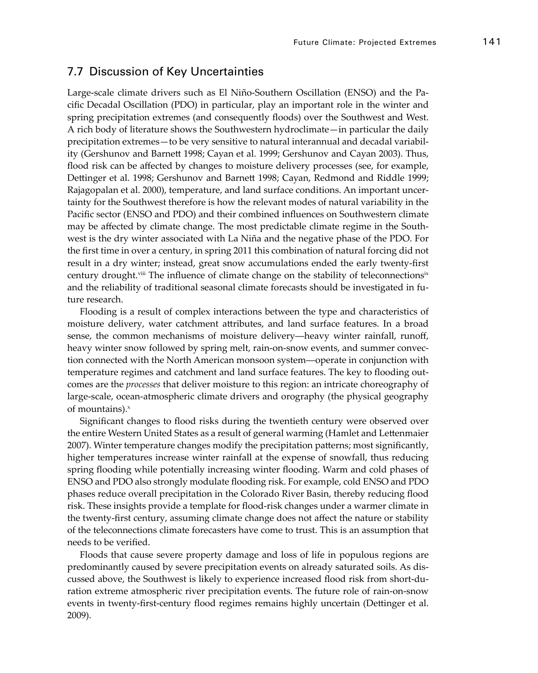## 7.7 Discussion of Key Uncertainties

Large-scale climate drivers such as El Niño-Southern Oscillation (ENSO) and the Pacific Decadal Oscillation (PDO) in particular, play an important role in the winter and spring precipitation extremes (and consequently floods) over the Southwest and West. A rich body of literature shows the Southwestern hydroclimate—in particular the daily precipitation extremes—to be very sensitive to natural interannual and decadal variability (Gershunov and Barnett 1998; Cayan et al. 1999; Gershunov and Cayan 2003). Thus, flood risk can be affected by changes to moisture delivery processes (see, for example, Dettinger et al. 1998; Gershunov and Barnett 1998; Cayan, Redmond and Riddle 1999; Rajagopalan et al. 2000), temperature, and land surface conditions. An important uncertainty for the Southwest therefore is how the relevant modes of natural variability in the Pacific sector (ENSO and PDO) and their combined influences on Southwestern climate may be affected by climate change. The most predictable climate regime in the Southwest is the dry winter associated with La Niña and the negative phase of the PDO. For the first time in over a century, in spring 2011 this combination of natural forcing did not result in a dry winter; instead, great snow accumulations ended the early twenty-first century drought.<sup>viii</sup> The influence of climate change on the stability of teleconnections<sup>ix</sup> and the reliability of traditional seasonal climate forecasts should be investigated in future research.

Flooding is a result of complex interactions between the type and characteristics of moisture delivery, water catchment attributes, and land surface features. In a broad sense, the common mechanisms of moisture delivery―heavy winter rainfall, runoff, heavy winter snow followed by spring melt, rain-on-snow events, and summer convection connected with the North American monsoon system―operate in conjunction with temperature regimes and catchment and land surface features. The key to flooding outcomes are the *processes* that deliver moisture to this region: an intricate choreography of large-scale, ocean-atmospheric climate drivers and orography (the physical geography of mountains). $^{\text{x}}$ 

Significant changes to flood risks during the twentieth century were observed over the entire Western United States as a result of general warming (Hamlet and Lettenmaier 2007). Winter temperature changes modify the precipitation patterns; most significantly, higher temperatures increase winter rainfall at the expense of snowfall, thus reducing spring flooding while potentially increasing winter flooding. Warm and cold phases of ENSO and PDO also strongly modulate flooding risk. For example, cold ENSO and PDO phases reduce overall precipitation in the Colorado River Basin, thereby reducing flood risk. These insights provide a template for flood-risk changes under a warmer climate in the twenty-first century, assuming climate change does not affect the nature or stability of the teleconnections climate forecasters have come to trust. This is an assumption that needs to be verified.

Floods that cause severe property damage and loss of life in populous regions are predominantly caused by severe precipitation events on already saturated soils. As discussed above, the Southwest is likely to experience increased flood risk from short-duration extreme atmospheric river precipitation events. The future role of rain-on-snow events in twenty-first-century flood regimes remains highly uncertain (Dettinger et al. 2009).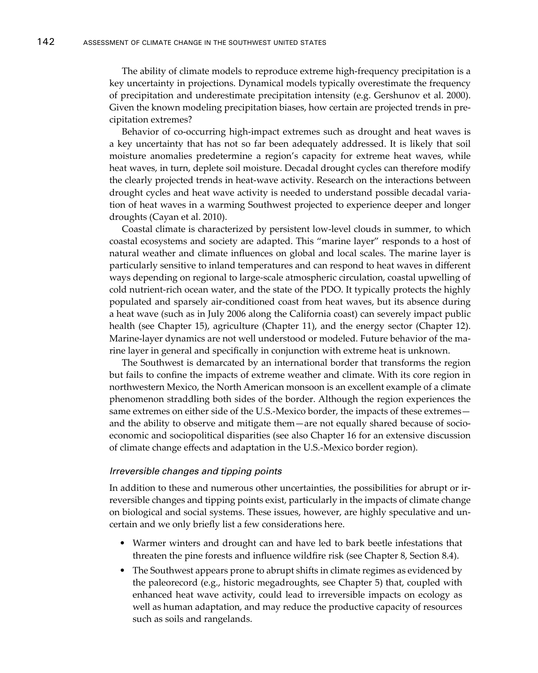The ability of climate models to reproduce extreme high-frequency precipitation is a key uncertainty in projections. Dynamical models typically overestimate the frequency of precipitation and underestimate precipitation intensity (e.g. Gershunov et al. 2000). Given the known modeling precipitation biases, how certain are projected trends in precipitation extremes?

Behavior of co-occurring high-impact extremes such as drought and heat waves is a key uncertainty that has not so far been adequately addressed. It is likely that soil moisture anomalies predetermine a region's capacity for extreme heat waves, while heat waves, in turn, deplete soil moisture. Decadal drought cycles can therefore modify the clearly projected trends in heat-wave activity. Research on the interactions between drought cycles and heat wave activity is needed to understand possible decadal variation of heat waves in a warming Southwest projected to experience deeper and longer droughts (Cayan et al. 2010).

Coastal climate is characterized by persistent low-level clouds in summer, to which coastal ecosystems and society are adapted. This "marine layer" responds to a host of natural weather and climate influences on global and local scales. The marine layer is particularly sensitive to inland temperatures and can respond to heat waves in different ways depending on regional to large-scale atmospheric circulation, coastal upwelling of cold nutrient-rich ocean water, and the state of the PDO. It typically protects the highly populated and sparsely air-conditioned coast from heat waves, but its absence during a heat wave (such as in July 2006 along the California coast) can severely impact public health (see Chapter 15), agriculture (Chapter 11), and the energy sector (Chapter 12). Marine-layer dynamics are not well understood or modeled. Future behavior of the marine layer in general and specifically in conjunction with extreme heat is unknown.

The Southwest is demarcated by an international border that transforms the region but fails to confine the impacts of extreme weather and climate. With its core region in northwestern Mexico, the North American monsoon is an excellent example of a climate phenomenon straddling both sides of the border. Although the region experiences the same extremes on either side of the U.S.-Mexico border, the impacts of these extremes and the ability to observe and mitigate them—are not equally shared because of socioeconomic and sociopolitical disparities (see also Chapter 16 for an extensive discussion of climate change effects and adaptation in the U.S.-Mexico border region).

#### *Irreversible changes and tipping points*

In addition to these and numerous other uncertainties, the possibilities for abrupt or irreversible changes and tipping points exist, particularly in the impacts of climate change on biological and social systems. These issues, however, are highly speculative and uncertain and we only briefly list a few considerations here.

- Warmer winters and drought can and have led to bark beetle infestations that threaten the pine forests and influence wildfire risk (see Chapter 8, Section 8.4).
- The Southwest appears prone to abrupt shifts in climate regimes as evidenced by the paleorecord (e.g., historic megadroughts, see Chapter 5) that, coupled with enhanced heat wave activity, could lead to irreversible impacts on ecology as well as human adaptation, and may reduce the productive capacity of resources such as soils and rangelands.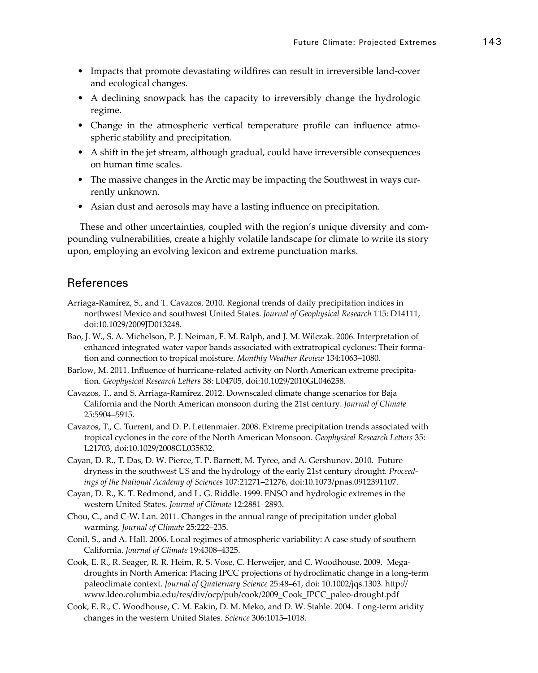- Impacts that promote devastating wildfires can result in irreversible land-cover and ecological changes.
- A declining snowpack has the capacity to irreversibly change the hydrologic regime.
- Change in the atmospheric vertical temperature profile can influence atmospheric stability and precipitation.
- A shift in the jet stream, although gradual, could have irreversible consequences on human time scales.
- The massive changes in the Arctic may be impacting the Southwest in ways currently unknown.
- Asian dust and aerosols may have a lasting influence on precipitation.

These and other uncertainties, coupled with the region's unique diversity and compounding vulnerabilities, create a highly volatile landscape for climate to write its story upon, employing an evolving lexicon and extreme punctuation marks.

## References

- Arriaga-Ramírez, S., and T. Cavazos. 2010. Regional trends of daily precipitation indices in northwest Mexico and southwest United States. *Journal of Geophysical Research* 115: D14111, doi:10.1029/2009JD013248.
- Bao, J. W., S. A. Michelson, P. J. Neiman, F. M. Ralph, and J. M. Wilczak. 2006. Interpretation of enhanced integrated water vapor bands associated with extratropical cyclones: Their formation and connection to tropical moisture. *Monthly Weather Review* 134:1063–1080.
- Barlow, M. 2011. Influence of hurricane-related activity on North American extreme precipitation. *Geophysical Research Letters* 38: L04705, doi:10.1029/2010GL046258.
- Cavazos, T., and S. Arriaga-Ramírez. 2012. Downscaled climate change scenarios for Baja California and the North American monsoon during the 21st century. *Journal of Climate* 25:5904–5915.
- Cavazos, T., C. Turrent, and D. P. Lettenmaier. 2008. Extreme precipitation trends associated with tropical cyclones in the core of the North American Monsoon. *Geophysical Research Letters* 35: L21703, doi:10.1029/2008GL035832.
- Cayan, D. R., T. Das, D. W. Pierce, T. P. Barnett, M. Tyree, and A. Gershunov. 2010. Future dryness in the southwest US and the hydrology of the early 21st century drought. *Proceedings of the National Academy of Sciences* 107:21271–21276, doi:10.1073/pnas.0912391107.
- Cayan, D. R., K. T. Redmond, and L. G. Riddle. 1999. ENSO and hydrologic extremes in the western United States. *Journal of Climate* 12:2881–2893.
- Chou, C., and C-W. Lan. 2011. Changes in the annual range of precipitation under global warming. *Journal of Climate* 25:222–235.
- Conil, S., and A. Hall. 2006. Local regimes of atmospheric variability: A case study of southern California. *Journal of Climate* 19:4308–4325.
- Cook, E. R., R. Seager, R. R. Heim, R. S. Vose, C. Herweijer, and C. Woodhouse. 2009. Megadroughts in North America: Placing IPCC projections of hydroclimatic change in a long-term paleoclimate context. *Journal of Quaternary Science* 25:48–61, doi: 10.1002/jqs.1303. http:// www.ldeo.columbia.edu/res/div/ocp/pub/cook/2009\_Cook\_IPCC\_paleo-drought.pdf
- Cook, E. R., C. Woodhouse, C. M. Eakin, D. M. Meko, and D. W. Stahle. 2004. Long-term aridity changes in the western United States. *Science* 306:1015–1018.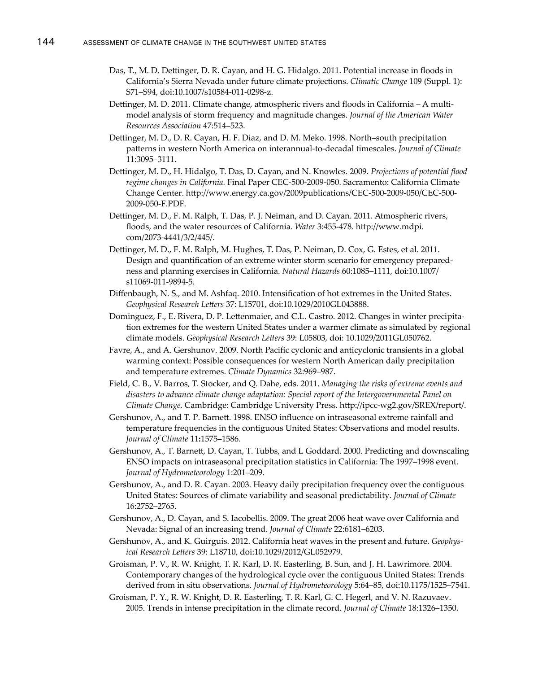- Das, T., M. D. Dettinger, D. R. Cayan, and H. G. Hidalgo. 2011. Potential increase in floods in California's Sierra Nevada under future climate projections. *Climatic Change* 109 (Suppl. 1): S71–S94, doi:10.1007/s10584-011-0298-z.
- Dettinger, M. D. 2011. Climate change, atmospheric rivers and floods in California A multimodel analysis of storm frequency and magnitude changes. *Journal of the American Water Resources Association* 47:514–523.
- Dettinger, M. D., D. R. Cayan, H. F. Diaz, and D. M. Meko. 1998. North–south precipitation patterns in western North America on interannual-to-decadal timescales. *Journal of Climate*  11:3095–3111.
- Dettinger, M. D., H. Hidalgo, T. Das, D. Cayan, and N. Knowles. 2009. *Projections of potential flood regime changes in California.* Final Paper CEC-500-2009-050. Sacramento: California Climate Change Center. http://www.energy.ca.gov/2009publications/CEC-500-2009-050/CEC-500- 2009-050-F.PDF.
- Dettinger, M. D., F. M. Ralph, T. Das, P. J. Neiman, and D. Cayan. 2011. Atmospheric rivers, floods, and the water resources of California. *Water* 3:455-478. http://www.mdpi. com/2073-4441/3/2/445/.
- Dettinger, M. D., F. M. Ralph, M. Hughes, T. Das, P. Neiman, D. Cox, G. Estes, et al. 2011. Design and quantification of an extreme winter storm scenario for emergency preparedness and planning exercises in California. *Natural Hazards* 60:1085–1111, doi:10.1007/ s11069-011-9894-5.
- Diffenbaugh, N. S., and M. Ashfaq. 2010. Intensification of hot extremes in the United States. *Geophysical Research Letters* 37: L15701, doi:10.1029/2010GL043888.
- Dominguez, F., E. Rivera, D. P. Lettenmaier, and C.L. Castro. 2012. Changes in winter precipitation extremes for the western United States under a warmer climate as simulated by regional climate models. *Geophysical Research Letters* 39: L05803, doi: 10.1029/2011GL050762.
- Favre, A., and A. Gershunov. 2009. North Pacific cyclonic and anticyclonic transients in a global warming context: Possible consequences for western North American daily precipitation and temperature extremes. *Climate Dynamics* 32:969–987.
- Field, C. B., V. Barros, T. Stocker, and Q. Dahe, eds. 2011. *Managing the risks of extreme events and disasters to advance climate change adaptation: Special report of the Intergovernmental Panel on Climate Change.* Cambridge: Cambridge University Press. http://ipcc-wg2.gov/SREX/report/.
- Gershunov, A., and T. P. Barnett. 1998. ENSO influence on intraseasonal extreme rainfall and temperature frequencies in the contiguous United States: Observations and model results. *Journal of Climate* 11**:**1575–1586.
- Gershunov, A., T. Barnett, D. Cayan, T. Tubbs, and L Goddard. 2000. Predicting and downscaling ENSO impacts on intraseasonal precipitation statistics in California: The 1997–1998 event. *Journal of Hydrometeorology* 1:201–209.
- Gershunov, A., and D. R. Cayan. 2003. Heavy daily precipitation frequency over the contiguous United States: Sources of climate variability and seasonal predictability. *Journal of Climate* 16:2752–2765.
- Gershunov, A., D. Cayan, and S. Iacobellis. 2009. The great 2006 heat wave over California and Nevada: Signal of an increasing trend. *Journal of Climate* 22:6181–6203.
- Gershunov, A., and K. Guirguis. 2012. California heat waves in the present and future. *Geophysical Research Letters* 39: L18710, doi:10.1029/2012/GL052979.
- Groisman, P. V., R. W. Knight, T. R. Karl, D. R. Easterling, B. Sun, and J. H. Lawrimore. 2004. Contemporary changes of the hydrological cycle over the contiguous United States: Trends derived from in situ observations. *Journal of Hydrometeorology* 5:64–85, doi:10.1175/1525–7541.
- Groisman, P. Y., R. W. Knight, D. R. Easterling, T. R. Karl, G. C. Hegerl, and V. N. Razuvaev. 2005. Trends in intense precipitation in the climate record. *Journal of Climate* 18:1326–1350.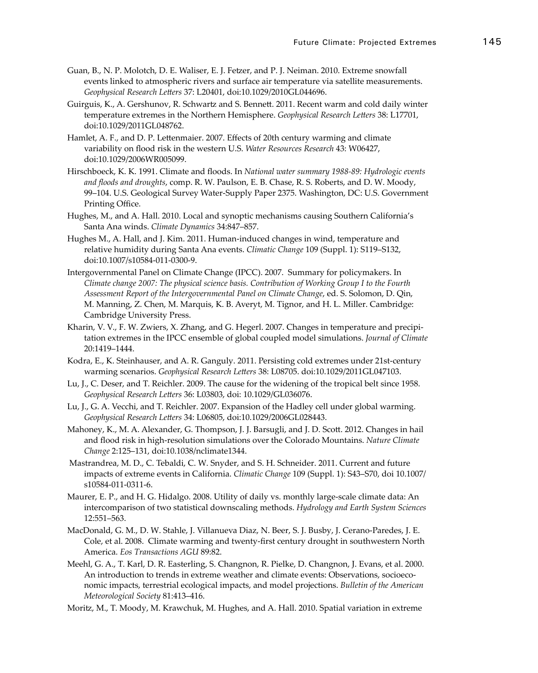- Guan, B., N. P. Molotch, D. E. Waliser, E. J. Fetzer, and P. J. Neiman. 2010. Extreme snowfall events linked to atmospheric rivers and surface air temperature via satellite measurements. *Geophysical Research Letters* 37: L20401, doi:10.1029/2010GL044696.
- Guirguis, K., A. Gershunov, R. Schwartz and S. Bennett. 2011. Recent warm and cold daily winter temperature extremes in the Northern Hemisphere. *Geophysical Research Letters* 38: L17701, doi:10.1029/2011GL048762.
- Hamlet, A. F., and D. P. Lettenmaier. 2007. Effects of 20th century warming and climate variability on flood risk in the western U.S. *Water Resources Research* 43: W06427, doi:10.1029/2006WR005099.
- Hirschboeck, K. K. 1991. Climate and floods. In *National water summary 1988-89: Hydrologic events and floods and droughts*, comp. R. W. Paulson, E. B. Chase, R. S. Roberts, and D. W. Moody, 99–104. U.S. Geological Survey Water-Supply Paper 2375. Washington, DC: U.S. Government Printing Office.
- Hughes, M., and A. Hall. 2010. Local and synoptic mechanisms causing Southern California's Santa Ana winds. *Climate Dynamics* 34:847–857.
- Hughes M., A. Hall, and J. Kim. 2011. Human-induced changes in wind, temperature and relative humidity during Santa Ana events. *Climatic Change* 109 (Suppl. 1): S119–S132, doi:10.1007/s10584-011-0300-9.
- Intergovernmental Panel on Climate Change (IPCC). 2007. Summary for policymakers. In *Climate change 2007: The physical science basis. Contribution of Working Group I to the Fourth Assessment Report of the Intergovernmental Panel on Climate Change*, ed. S. Solomon, D. Qin, M. Manning, Z. Chen, M. Marquis, K. B. Averyt, M. Tignor, and H. L. Miller. Cambridge: Cambridge University Press.
- Kharin, V. V., F. W. Zwiers, X. Zhang, and G. Hegerl. 2007. Changes in temperature and precipitation extremes in the IPCC ensemble of global coupled model simulations. *Journal of Climate* 20:1419–1444.
- Kodra, E., K. Steinhauser, and A. R. Ganguly. 2011. Persisting cold extremes under 21st-century warming scenarios. *Geophysical Research Letters* 38: L08705. doi:10.1029/2011GL047103.
- Lu, J., C. Deser, and T. Reichler. 2009. The cause for the widening of the tropical belt since 1958. *Geophysical Research Letters* 36: L03803, doi: 10.1029/GL036076.
- Lu, J., G. A. Vecchi, and T. Reichler. 2007. Expansion of the Hadley cell under global warming. *Geophysical Research Letters* 34: L06805, doi:10.1029/2006GL028443.
- Mahoney, K., M. A. Alexander, G. Thompson, J. J. Barsugli, and J. D. Scott. 2012. Changes in hail and flood risk in high-resolution simulations over the Colorado Mountains. *Nature Climate Change* 2:125–131, doi:10.1038/nclimate1344.
- Mastrandrea, M. D., C. Tebaldi, C. W. Snyder, and S. H. Schneider. 2011. Current and future impacts of extreme events in California. *Climatic Change* 109 (Suppl. 1): S43–S70, doi 10.1007/ s10584-011-0311-6.
- Maurer, E. P., and H. G. Hidalgo. 2008. Utility of daily vs. monthly large-scale climate data: An intercomparison of two statistical downscaling methods. *Hydrology and Earth System Sciences* 12:551–563.
- MacDonald, G. M., D. W. Stahle, J. Villanueva Diaz, N. Beer, S. J. Busby, J. Cerano-Paredes, J. E. Cole, et al. 2008. Climate warming and twenty-first century drought in southwestern North America. *Eos Transactions AGU* 89:82.
- Meehl, G. A., T. Karl, D. R. Easterling, S. Changnon, R. Pielke, D. Changnon, J. Evans, et al. 2000. An introduction to trends in extreme weather and climate events: Observations, socioeconomic impacts, terrestrial ecological impacts, and model projections. *Bulletin of the American Meteorological Society* 81:413–416.
- Moritz, M., T. Moody, M. Krawchuk, M. Hughes, and A. Hall. 2010. Spatial variation in extreme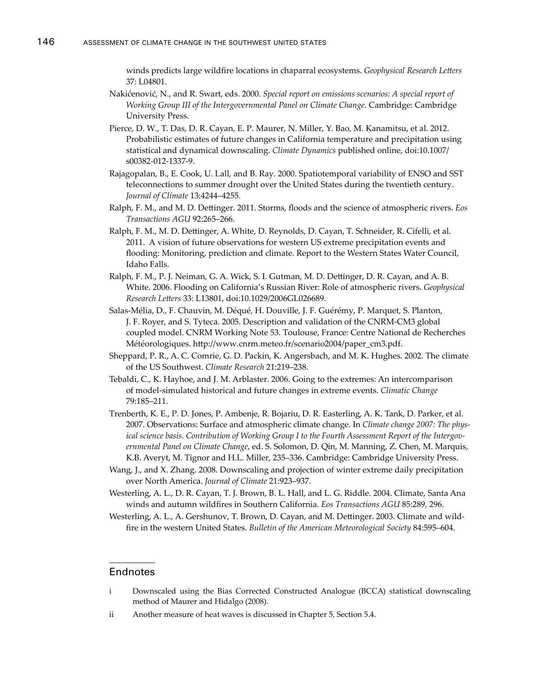winds predicts large wildfire locations in chaparral ecosystems. *Geophysical Research Letters* 37: L04801.

- Nakićenović, N., and R. Swart, eds. 2000. *Special report on emissions scenarios: A special report of Working Group III of the Intergovernmental Panel on Climate Change*. Cambridge: Cambridge University Press.
- Pierce, D. W., T. Das, D. R. Cayan, E. P. Maurer, N. Miller, Y. Bao, M. Kanamitsu, et al. 2012. Probabilistic estimates of future changes in California temperature and precipitation using statistical and dynamical downscaling. *Climate Dynamics* published online, doi:10.1007/ s00382-012-1337-9.
- Rajagopalan, B., E. Cook, U. Lall, and B. Ray. 2000. Spatiotemporal variability of ENSO and SST teleconnections to summer drought over the United States during the twentieth century. *Journal of Climate* 13:4244–4255.
- Ralph, F. M., and M. D. Dettinger. 2011. Storms, floods and the science of atmospheric rivers. *Eos Transactions AGU* 92:265–266.
- Ralph, F. M., M. D. Dettinger, A. White, D. Reynolds, D. Cayan, T. Schneider, R. Cifelli, et al. 2011. A vision of future observations for western US extreme precipitation events and flooding: Monitoring, prediction and climate. Report to the Western States Water Council, Idaho Falls.
- Ralph, F. M., P. J. Neiman, G. A. Wick, S. I. Gutman, M. D. Dettinger, D. R. Cayan, and A. B. White. 2006. Flooding on California's Russian River: Role of atmospheric rivers. *Geophysical Research Letters* 33: L13801, doi:10.1029/2006GL026689.
- Salas-Mélia, D., F. Chauvin, M. Déqué, H. Douville, J. F. Guérémy, P. Marquet, S. Planton, J. F. Royer, and S. Tyteca. 2005. Description and validation of the CNRM-CM3 global coupled model. CNRM Working Note 53. Toulouse, France: Centre National de Recherches Météorologiques. http://www.cnrm.meteo.fr/scenario2004/paper\_cm3.pdf.
- Sheppard, P. R., A. C. Comrie, G. D. Packin, K. Angersbach, and M. K. Hughes. 2002. The climate of the US Southwest. *Climate Research* 21:219–238.
- Tebaldi, C., K. Hayhoe, and J. M. Arblaster. 2006. Going to the extremes: An intercomparison of model-simulated historical and future changes in extreme events. *Climatic Change* 79:185–211.
- Trenberth, K. E., P. D. Jones, P. Ambenje, R. Bojariu, D. R. Easterling, A. K. Tank, D. Parker, et al. 2007. Observations: Surface and atmospheric climate change. In *Climate change 2007: The physical science basis. Contribution of Working Group I to the Fourth Assessment Report of the Intergovernmental Panel on Climate Change*, ed. S. Solomon, D. Qin, M. Manning, Z. Chen, M. Marquis, K.B. Averyt, M. Tignor and H.L. Miller, 235–336. Cambridge: Cambridge University Press.
- Wang, J., and X. Zhang. 2008. Downscaling and projection of winter extreme daily precipitation over North America. *Journal of Climate* 21:923–937.
- Westerling, A. L., D. R. Cayan, T. J. Brown, B. L. Hall, and L. G. Riddle. 2004. Climate, Santa Ana winds and autumn wildfires in Southern California. *Eos Transactions AGU* 85:289, 296.
- Westerling, A. L., A. Gershunov, T. Brown, D. Cayan, and M. Dettinger. 2003. Climate and wildfire in the western United States. *Bulletin of the American Meteorological Society* 84:595–604.

#### Endnotes

- i Downscaled using the Bias Corrected Constructed Analogue (BCCA) statistical downscaling method of Maurer and Hidalgo (2008).
- ii Another measure of heat waves is discussed in Chapter 5, Section 5.4.